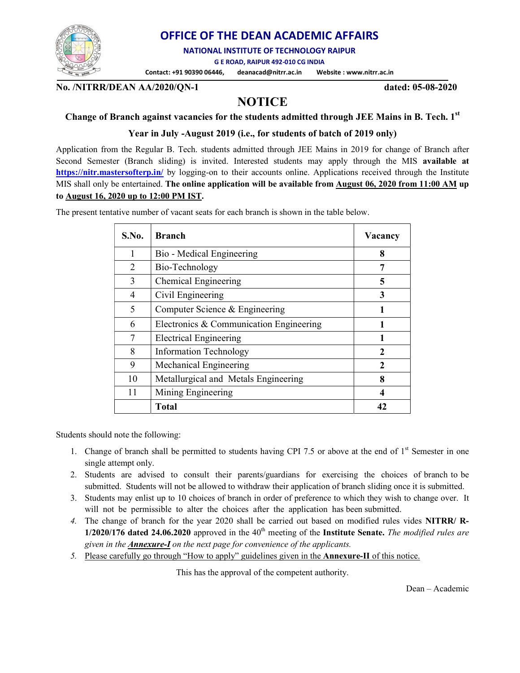

### OFFICE OF THE DEAN ACADEMIC AFFAIRS

NATIONAL INSTITUTE OF TECHNOLOGY RAIPUR

G E ROAD, RAIPUR 492-010 CG INDIA

Contact: +91 90390 06446, deanacad@nitrr.ac.in Website : www.nitrr.ac.in

No. /NITRR/DEAN AA/2020/QN-1 dated: 05-08-2020

# **NOTICE**

### Change of Branch against vacancies for the students admitted through JEE Mains in B. Tech. 1st

Year in July -August 2019 (i.e., for students of batch of 2019 only)

Application from the Regular B. Tech. students admitted through JEE Mains in 2019 for change of Branch after Second Semester (Branch sliding) is invited. Interested students may apply through the MIS available at https://nitr.mastersofterp.in/ by logging-on to their accounts online. Applications received through the Institute MIS shall only be entertained. The online application will be available from August 06, 2020 from 11:00 AM up to August 16, 2020 up to 12:00 PM IST.

> S.No. Branch Vacancy 1 Bio - Medical Engineering 8 2 Bio-Technology 7 3 Chemical Engineering 5 4 Civil Engineering 3  $5$  Computer Science & Engineering 1 6 Electronics & Communication Engineering  $1$ 7 Electrical Engineering 1 8 Information Technology 2 9 | Mechanical Engineering | 2 10 | Metallurgical and Metals Engineering | 8 11 | Mining Engineering | 4  $Total$   $42$

The present tentative number of vacant seats for each branch is shown in the table below.

Students should note the following:

- 1. Change of branch shall be permitted to students having CPI 7.5 or above at the end of  $1<sup>st</sup>$  Semester in one single attempt only.
- 2. Students are advised to consult their parents/guardians for exercising the choices of branch to be submitted. Students will not be allowed to withdraw their application of branch sliding once it is submitted.
- 3. Students may enlist up to 10 choices of branch in order of preference to which they wish to change over. It will not be permissible to alter the choices after the application has been submitted.
- 4. The change of branch for the year 2020 shall be carried out based on modified rules vides NITRR/ R-1/2020/176 dated 24.06.2020 approved in the  $40<sup>th</sup>$  meeting of the Institute Senate. The modified rules are given in the **Annexure-I** on the next page for convenience of the applicants.
- 5. Please carefully go through "How to apply" guidelines given in the Annexure-II of this notice.

This has the approval of the competent authority.

Dean – Academic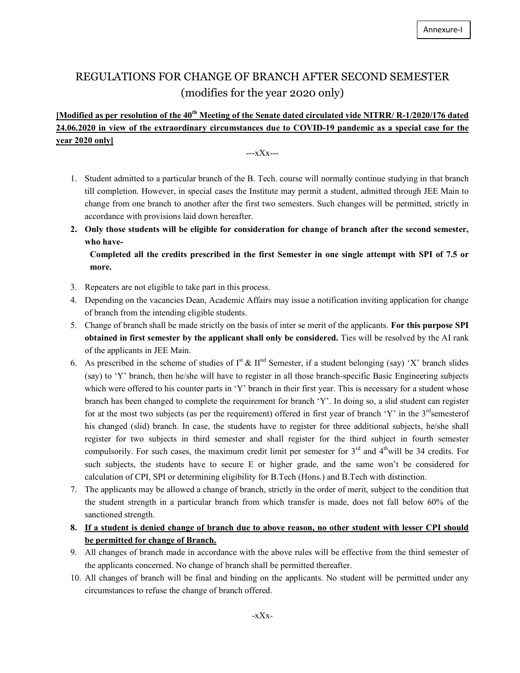## REGULATIONS FOR CHANGE OF BRANCH AFTER SECOND SEMESTER (modifies for the year 2020 only)

### [Modified as per resolution of the 40<sup>th</sup> Meeting of the Senate dated circulated vide NITRR/ R-1/2020/176 dated 24.06.2020 in view of the extraordinary circumstances due to COVID-19 pandemic as a special case for the year 2020 only]

---xXx---

- 1. Student admitted to a particular branch of the B. Tech. course will normally continue studying in that branch till completion. However, in special cases the Institute may permit a student, admitted through JEE Main to change from one branch to another after the first two semesters. Such changes will be permitted, strictly in accordance with provisions laid down hereafter.
- 2. Only those students will be eligible for consideration for change of branch after the second semester, who have-

Completed all the credits prescribed in the first Semester in one single attempt with SPI of 7.5 or more.

- 3. Repeaters are not eligible to take part in this process.
- 4. Depending on the vacancies Dean, Academic Affairs may issue a notification inviting application for change of branch from the intending eligible students.
- 5. Change of branch shall be made strictly on the basis of inter se merit of the applicants. For this purpose SPI obtained in first semester by the applicant shall only be considered. Ties will be resolved by the AI rank of the applicants in JEE Main.
- 6. As prescribed in the scheme of studies of  $I<sup>st</sup> \& II<sup>nd</sup>$  Semester, if a student belonging (say) 'X' branch slides (say) to 'Y' branch, then he/she will have to register in all those branch-specific Basic Engineering subjects which were offered to his counter parts in 'Y' branch in their first year. This is necessary for a student whose branch has been changed to complete the requirement for branch 'Y'. In doing so, a slid student can register for at the most two subjects (as per the requirement) offered in first year of branch 'Y' in the  $3<sup>rd</sup>$ semesterof his changed (slid) branch. In case, the students have to register for three additional subjects, he/she shall register for two subjects in third semester and shall register for the third subject in fourth semester compulsorily. For such cases, the maximum credit limit per semester for  $3<sup>rd</sup>$  and  $4<sup>th</sup>$ will be 34 credits. For such subjects, the students have to secure E or higher grade, and the same won't be considered for calculation of CPI, SPI or determining eligibility for B.Tech (Hons.) and B.Tech with distinction.
- 7. The applicants may be allowed a change of branch, strictly in the order of merit, subject to the condition that the student strength in a particular branch from which transfer is made, does not fall below 60% of the sanctioned strength.
- 8. If a student is denied change of branch due to above reason, no other student with lesser CPI should be permitted for change of Branch.
- 9. All changes of branch made in accordance with the above rules will be effective from the third semester of the applicants concerned. No change of branch shall be permitted thereafter.
- 10. All changes of branch will be final and binding on the applicants. No student will be permitted under any circumstances to refuse the change of branch offered.